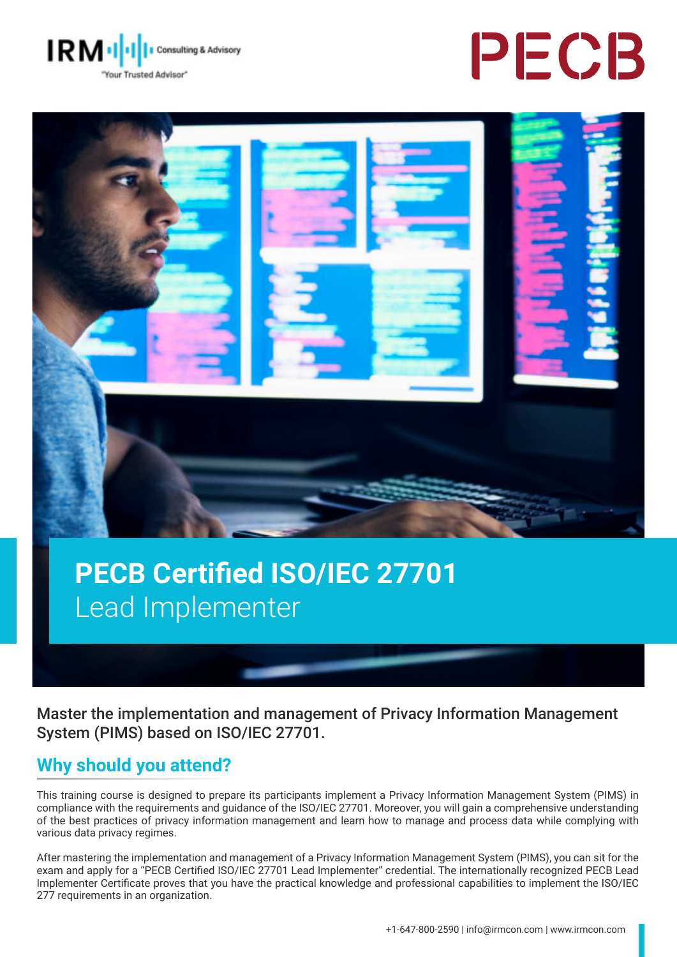





# **PECB Certified ISO/IEC 27701**  Lead Implementer

Master the implementation and management of Privacy Information Management System (PIMS) based on ISO/IEC 27701.

### **Why should you attend?**

This training course is designed to prepare its participants implement a Privacy Information Management System (PIMS) in compliance with the requirements and guidance of the ISO/IEC 27701. Moreover, you will gain a comprehensive understanding of the best practices of privacy information management and learn how to manage and process data while complying with various data privacy regimes.

After mastering the implementation and management of a Privacy Information Management System (PIMS), you can sit for the exam and apply for a "PECB Certified ISO/IEC 27701 Lead Implementer" credential. The internationally recognized PECB Lead Implementer Certificate proves that you have the practical knowledge and professional capabilities to implement the ISO/IEC 277 requirements in an organization.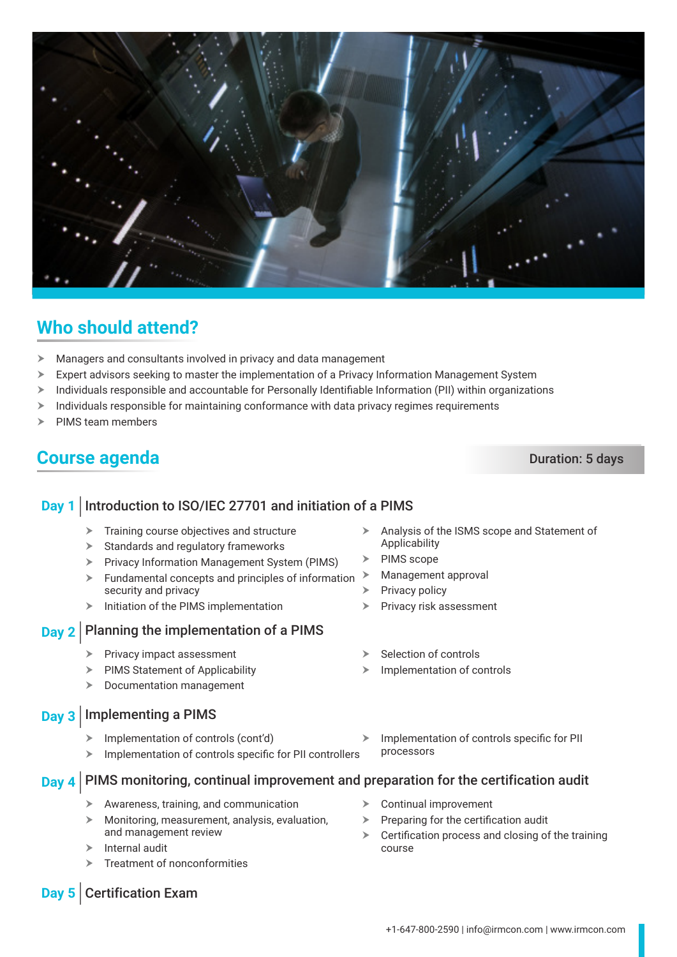

## **Who should attend?**

- $\blacktriangleright$  Managers and consultants involved in privacy and data management
- $\triangleright$  Expert advisors seeking to master the implementation of a Privacy Information Management System
- > Individuals responsible and accountable for Personally Identifiable Information (PII) within organizations
- $\geq$  Individuals responsible for maintaining conformance with data privacy regimes requirements
- PIMS team members

### **Course agenda** Duration: 5 days

### **Day 1** Introduction to ISO/IEC 27701 and initiation of a PIMS  $\blacktriangleright$  Training course objectives and structure  $\triangleright$  Standards and regulatory frameworks **Fivacy Information Management System (PIMS)**  $\blacktriangleright$  Fundamental concepts and principles of information security and privacy  $\triangleright$  Initiation of the PIMS implementation Applicability  $\triangleright$  PIMS scope  $\triangleright$  Management approval Privacy policy Privacy risk assessment **Day 2** Planning the implementation of a PIMS  $\blacktriangleright$  Privacy impact assessment  $\triangleright$  PIMS Statement of Applicability  $\triangleright$  Documentation management Selection of controls Implementation of controls **Day 3** Implementing a PIMS  $\triangleright$  Implementation of controls (cont'd)  $\triangleright$  Implementation of controls specific for PII controllers processors Awareness, training, and communication h Monitoring, measurement, analysis, evaluation, and management review Internal audit Treatment of nonconformities  $\triangleright$  Continual improvement  $\triangleright$  Preparing for the certification audit  $\triangleright$  Certification process and closing of the training course **Day 5** Certification Exam

 $\triangleright$  Analysis of the ISMS scope and Statement of

+1-647-800-2590 | info@irmcon.com | www.irmcon.com

### **Day 4** PIMS monitoring, continual improvement and preparation for the certification audit

 $\triangleright$  Implementation of controls specific for PII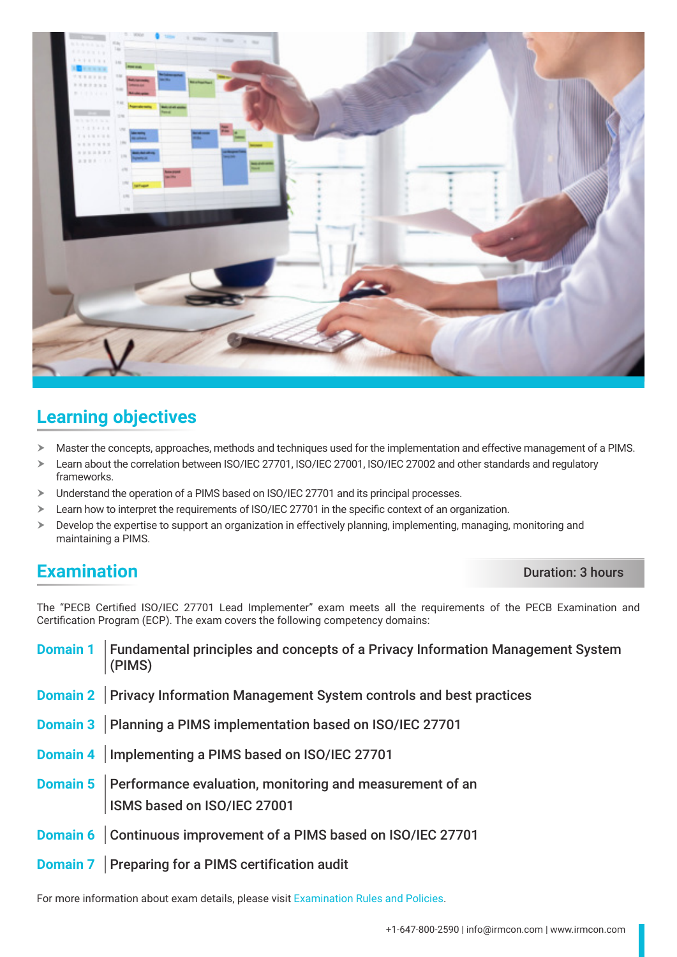

### **Learning objectives**

- h Master the concepts, approaches, methods and techniques used for the implementation and effective management of a PIMS.
- > Learn about the correlation between ISO/IEC 27701, ISO/IEC 27001, ISO/IEC 27002 and other standards and regulatory frameworks.
- $\triangleright$  Understand the operation of a PIMS based on ISO/IEC 27701 and its principal processes.
- $\triangleright$  Learn how to interpret the requirements of ISO/IEC 27701 in the specific context of an organization.
- $\triangleright$  Develop the expertise to support an organization in effectively planning, implementing, managing, monitoring and maintaining a PIMS.

### **Examination** Duration: 3 hours

The "PECB Certified ISO/IEC 27701 Lead Implementer" exam meets all the requirements of the PECB Examination and Certification Program (ECP). The exam covers the following competency domains:

| <b>Domain 1</b>   Fundamental principles and concepts of a Privacy Information Management System<br>(PIMS) |
|------------------------------------------------------------------------------------------------------------|
| Domain 2   Privacy Information Management System controls and best practices                               |
| Domain 3   Planning a PIMS implementation based on ISO/IEC 27701                                           |
| Domain 4   Implementing a PIMS based on ISO/IEC 27701                                                      |
| <b>Domain 5</b> Performance evaluation, monitoring and measurement of an<br>ISMS based on ISO/IEC 27001    |
| Domain 6   Continuous improvement of a PIMS based on ISO/IEC 27701                                         |
| <b>Domain 7</b> Preparing for a PIMS certification audit                                                   |

For more information about exam details, please visit [Examination Rules and Policies](https://pecb.com/en/examination-rules-and-policies).